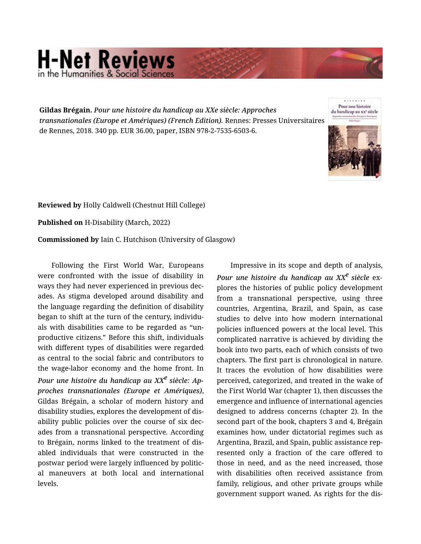## **H-Net Reviews**

**Gildas Brégain.** *Pour une histoire du handicap au XXe siècle: Approches transnationales (Europe et Amériques) (French Edition).* Rennes: Presses Universitaires de Rennes, 2018. 340 pp. EUR 36.00, paper, ISBN 978-2-7535-6503-6.



**Reviewed by** Holly Caldwell (Chestnut Hill College)

**Published on** H-Disability (March, 2022)

**Commissioned by** Iain C. Hutchison (University of Glasgow)

Following the First World War, Europeans were confronted with the issue of disability in ways they had never experienced in previous dec‐ ades. As stigma developed around disability and the language regarding the definition of disability began to shift at the turn of the century, individuals with disabilities came to be regarded as "un‐ productive citizens." Before this shift, individuals with different types of disabilities were regarded as central to the social fabric and contributors to the wage-labor economy and the home front. In *Pour une histoire du handicap au XXe siècle: Ap‐ proches transnationales (Europe et Amériques)*, Gildas Brégain, a scholar of modern history and disability studies, explores the development of dis‐ ability public policies over the course of six dec‐ ades from a transnational perspective. According to Brégain, norms linked to the treatment of dis‐ abled individuals that were constructed in the postwar period were largely influenced by politic‐ al maneuvers at both local and international levels.

Impressive in its scope and depth of analysis, *Pour une histoire du handicap au XXe siècle* ex‐ plores the histories of public policy development from a transnational perspective, using three countries, Argentina, Brazil, and Spain, as case studies to delve into how modern international policies influenced powers at the local level. This complicated narrative is achieved by dividing the book into two parts, each of which consists of two chapters. The first part is chronological in nature. It traces the evolution of how disabilities were perceived, categorized, and treated in the wake of the First World War (chapter 1), then discusses the emergence and influence of international agencies designed to address concerns (chapter 2). In the second part of the book, chapters 3 and 4, Brégain examines how, under dictatorial regimes such as Argentina, Brazil, and Spain, public assistance rep‐ resented only a fraction of the care offered to those in need, and as the need increased, those with disabilities often received assistance from family, religious, and other private groups while government support waned. As rights for the dis‐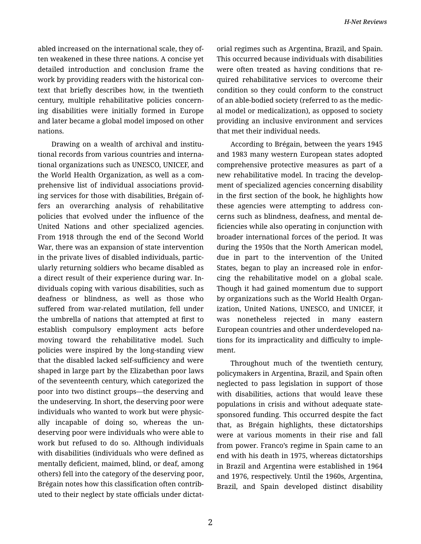abled increased on the international scale, they of‐ ten weakened in these three nations. A concise yet detailed introduction and conclusion frame the work by providing readers with the historical con‐ text that briefly describes how, in the twentieth century, multiple rehabilitative policies concern‐ ing disabilities were initially formed in Europe and later became a global model imposed on other nations.

Drawing on a wealth of archival and institu‐ tional records from various countries and interna‐ tional organizations such as UNESCO, UNICEF, and the World Health Organization, as well as a com‐ prehensive list of individual associations provid‐ ing services for those with disabilities, Brégain of‐ fers an overarching analysis of rehabilitative policies that evolved under the influence of the United Nations and other specialized agencies. From 1918 through the end of the Second World War, there was an expansion of state intervention in the private lives of disabled individuals, partic‐ ularly returning soldiers who became disabled as a direct result of their experience during war. In‐ dividuals coping with various disabilities, such as deafness or blindness, as well as those who suffered from war-related mutilation, fell under the umbrella of nations that attempted at first to establish compulsory employment acts before moving toward the rehabilitative model. Such policies were inspired by the long-standing view that the disabled lacked self-sufficiency and were shaped in large part by the Elizabethan poor laws of the seventeenth century, which categorized the poor into two distinct groups—the deserving and the undeserving. In short, the deserving poor were individuals who wanted to work but were physic‐ ally incapable of doing so, whereas the un‐ deserving poor were individuals who were able to work but refused to do so. Although individuals with disabilities (individuals who were defined as mentally deficient, maimed, blind, or deaf, among others) fell into the category of the deserving poor, Brégain notes how this classification often contrib‐ uted to their neglect by state officials under dictat‐

orial regimes such as Argentina, Brazil, and Spain. This occurred because individuals with disabilities were often treated as having conditions that re‐ quired rehabilitative services to overcome their condition so they could conform to the construct of an able-bodied society (referred to as the medic‐ al model or medicalization), as opposed to society providing an inclusive environment and services that met their individual needs.

According to Brégain, between the years 1945 and 1983 many western European states adopted comprehensive protective measures as part of a new rehabilitative model. In tracing the develop‐ ment of specialized agencies concerning disability in the first section of the book, he highlights how these agencies were attempting to address con‐ cerns such as blindness, deafness, and mental de‐ ficiencies while also operating in conjunction with broader international forces of the period. It was during the 1950s that the North American model, due in part to the intervention of the United States, began to play an increased role in enfor‐ cing the rehabilitative model on a global scale. Though it had gained momentum due to support by organizations such as the World Health Organ‐ ization, United Nations, UNESCO, and UNICEF, it was nonetheless rejected in many eastern European countries and other underdeveloped na‐ tions for its impracticality and difficulty to imple‐ ment.

Throughout much of the twentieth century, policymakers in Argentina, Brazil, and Spain often neglected to pass legislation in support of those with disabilities, actions that would leave these populations in crisis and without adequate statesponsored funding. This occurred despite the fact that, as Brégain highlights, these dictatorships were at various moments in their rise and fall from power. Franco's regime in Spain came to an end with his death in 1975, whereas dictatorships in Brazil and Argentina were established in 1964 and 1976, respectively. Until the 1960s, Argentina, Brazil, and Spain developed distinct disability